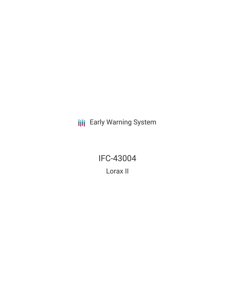**III** Early Warning System

IFC-43004 Lorax II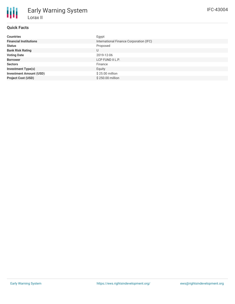# **Quick Facts**

| <b>Countries</b>               | Egypt                                   |
|--------------------------------|-----------------------------------------|
| <b>Financial Institutions</b>  | International Finance Corporation (IFC) |
| <b>Status</b>                  | Proposed                                |
| <b>Bank Risk Rating</b>        | U                                       |
| <b>Voting Date</b>             | 2019-12-06                              |
| <b>Borrower</b>                | LCP FUND II L.P.                        |
| <b>Sectors</b>                 | Finance                                 |
| <b>Investment Type(s)</b>      | Equity                                  |
| <b>Investment Amount (USD)</b> | \$25.00 million                         |
| <b>Project Cost (USD)</b>      | \$250.00 million                        |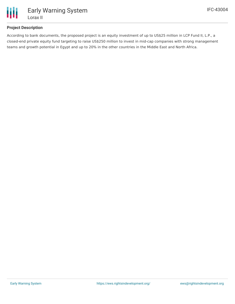

### **Project Description**

According to bank documents, the proposed project is an equity investment of up to US\$25 million in LCP Fund II, L.P., a closed-end private equity fund targeting to raise US\$250 million to invest in mid-cap companies with strong management teams and growth potential in Egypt and up to 20% in the other countries in the Middle East and North Africa.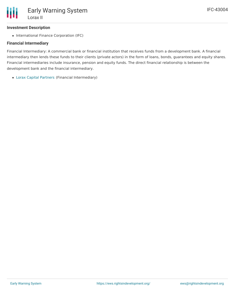#### **Investment Description**

• International Finance Corporation (IFC)

#### **Financial Intermediary**

Financial Intermediary: A commercial bank or financial institution that receives funds from a development bank. A financial intermediary then lends these funds to their clients (private actors) in the form of loans, bonds, guarantees and equity shares. Financial intermediaries include insurance, pension and equity funds. The direct financial relationship is between the development bank and the financial intermediary.

Lorax Capital [Partners](file:///actor/2438/) (Financial Intermediary)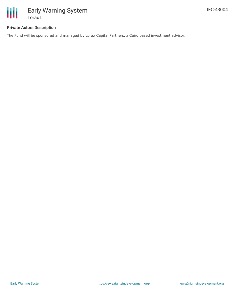

#### **Private Actors Description**

The Fund will be sponsored and managed by Lorax Capital Partners, a Cairo based investment advisor.